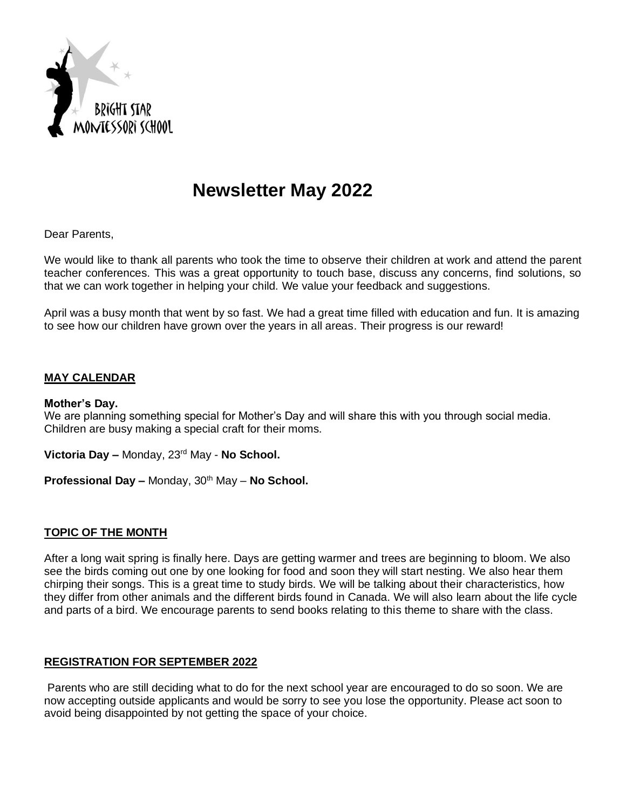

# **Newsletter May 2022**

Dear Parents,

We would like to thank all parents who took the time to observe their children at work and attend the parent teacher conferences. This was a great opportunity to touch base, discuss any concerns, find solutions, so that we can work together in helping your child. We value your feedback and suggestions.

April was a busy month that went by so fast. We had a great time filled with education and fun. It is amazing to see how our children have grown over the years in all areas. Their progress is our reward!

### **MAY CALENDAR**

#### **Mother's Day.**

We are planning something special for Mother's Day and will share this with you through social media. Children are busy making a special craft for their moms.

**Victoria Day –** Monday, 23rd May - **No School.**

**Professional Day –** Monday, 30th May – **No School.**

#### **TOPIC OF THE MONTH**

After a long wait spring is finally here. Days are getting warmer and trees are beginning to bloom. We also see the birds coming out one by one looking for food and soon they will start nesting. We also hear them chirping their songs. This is a great time to study birds. We will be talking about their characteristics, how they differ from other animals and the different birds found in Canada. We will also learn about the life cycle and parts of a bird. We encourage parents to send books relating to this theme to share with the class.

#### **REGISTRATION FOR SEPTEMBER 2022**

Parents who are still deciding what to do for the next school year are encouraged to do so soon. We are now accepting outside applicants and would be sorry to see you lose the opportunity. Please act soon to avoid being disappointed by not getting the space of your choice.